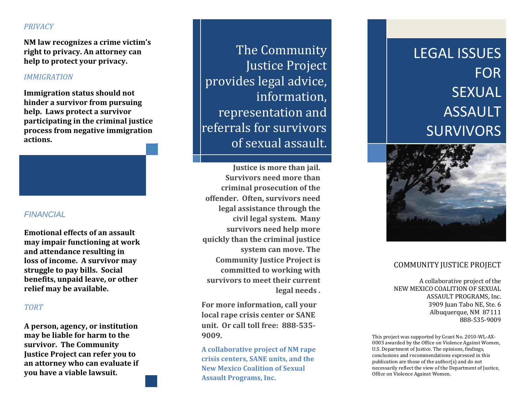# *PRIVACY*

**NM law recognizes a crime victim's right to privacy. An attorney can help to protect your privacy.**

## *IMMIGRATION*

**Immigration status should not hinder a survivor from pursuing help. Laws protect a survivor participating in the criminal justice process from negative immigration actions.**

### *FINANCIAL*

**Emotional effects of an assault may impair functioning at work and attendance resulting in loss of income. A survivor may struggle to pay bills. Social benefits, unpaid leave, or other relief may be available.**

## *TORT*

**A person, agency, or institution may be liable for harm to the survivor. The Community Justice Project can refer you to an attorney who can evaluate if you have a viable lawsuit.**

The Community Justice Project provides legal advice, information, representation and referrals for survivors of sexual assault.

**Justice is more than jail. Survivors need more thancriminal prosecution of the offender. Often, survivors need legal assistance through the civil legal system. Man y survivors need help more quickly than the criminal justice system can move. The Community Justice Project is committed to working with survivors to meet their current legal needs .**

**For more information, call your local rape crisis center or SANE unit. Or call toll free: 888‐535‐ 9009.**

**A collaborative project of NM rape crisis centers, SANE units, and the New Mexico Coalition of Sexual Assault Programs, Inc.**

# LEGAL ISSUESFORSEXUALASSAULTSURVIVORS



# COMMUNITY JUSTICE PROJECT

A collaborative project of the NEW MEXICO COALITION OF SEXUAL ASSAULT PROGRAMS, Inc. 3909 Juan Tabo NE, Ste. 6 Albuquerque, NM 87111 888‐535‐9009 

This project was supported by Grant No. 2010-WL-AX-0003 awarded by the Office on Violence Against Women, U.S. Department of Justice. The opinions, findings, conclusions and recommendations expressed in this publication are those of the  $\text{author}(s)$  and do not necessarily reflect the view of the Department of Justice, Office on Violence Against Women.